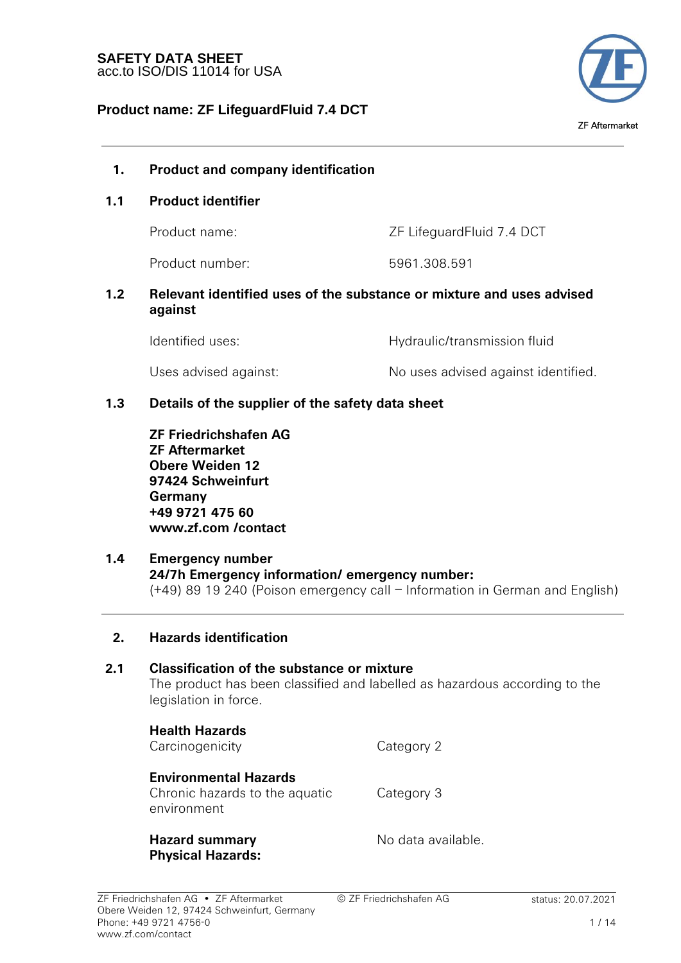

## **1. Product and company identification**

### **1.1 Product identifier**

Product name:  $ZF$  LifeguardFluid 7.4 DCT

Product number: 5961.308.591

### **1.2 Relevant identified uses of the substance or mixture and uses advised against**

| Identified uses:      | Hydraulic/transmission fluid        |
|-----------------------|-------------------------------------|
| Uses advised against: | No uses advised against identified. |

## **1.3 Details of the supplier of the safety data sheet**

**ZF Friedrichshafen AG ZF Aftermarket Obere Weiden 12 97424 Schweinfurt Germany +49 9721 475 60 www.zf.com /contact**

## **1.4 Emergency number 24/7h Emergency information/ emergency number:**  (+49) 89 19 240 (Poison emergency call – Information in German and English)

### **2. Hazards identification**

# **2.1 Classification of the substance or mixture**

The product has been classified and labelled as hazardous according to the legislation in force.

**Health Hazards** Carcinogenicity Category 2 **Environmental Hazards** Chronic hazards to the aquatic environment Category 3 **Hazard summary Physical Hazards:** No data available.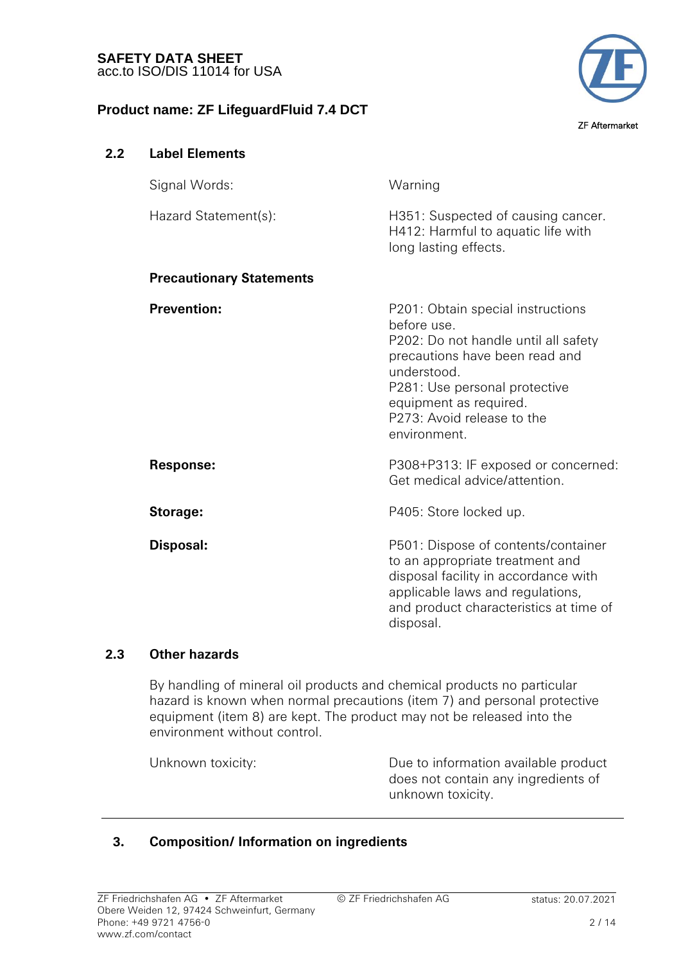**2.2 Label Elements** 

## **Product name: ZF LifeguardFluid 7.4 DCT**



# Signal Words: Warning Hazard Statement(s): H351: Suspected of causing cancer. H412: Harmful to aquatic life with long lasting effects. **Precautionary Statements Prevention:** P201: Obtain special instructions before use. P202: Do not handle until all safety precautions have been read and understood. P281: Use personal protective equipment as required. P273: Avoid release to the environment. **Response:** P308+P313: IF exposed or concerned: Get medical advice/attention. **Storage:** P405: Store locked up. **Disposal:** P501: Dispose of contents/container to an appropriate treatment and disposal facility in accordance with applicable laws and regulations, and product characteristics at time of disposal.

## **2.3 Other hazards**

By handling of mineral oil products and chemical products no particular hazard is known when normal precautions (item 7) and personal protective equipment (item 8) are kept. The product may not be released into the environment without control.

Unknown toxicity: Due to information available product does not contain any ingredients of unknown toxicity.

## **3. Composition/ Information on ingredients**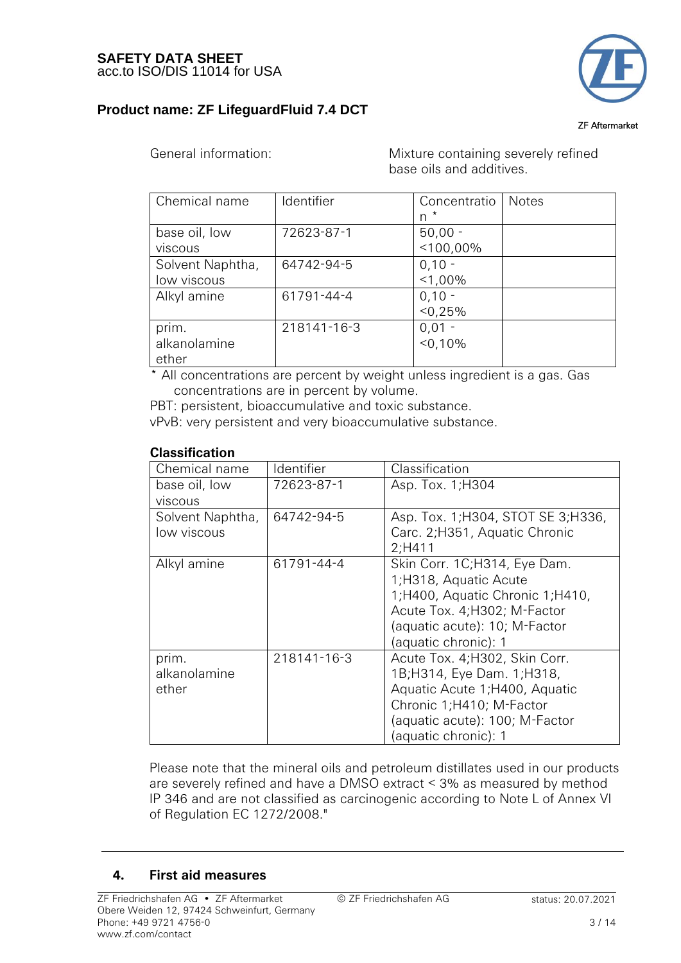

ZF Aftermarket

 General information: Mixture containing severely refined base oils and additives.

| Chemical name    | Identifier  | Concentratio | Notes |
|------------------|-------------|--------------|-------|
|                  |             | $n^*$        |       |
| base oil, low    | 72623-87-1  | $50,00 -$    |       |
| <b>VISCOUS</b>   |             | $< 100,00\%$ |       |
| Solvent Naphtha, | 64742-94-5  | $0,10 -$     |       |
| low viscous      |             | $<$ 1,00%    |       |
| Alkyl amine      | 61791-44-4  | $0,10 -$     |       |
|                  |             | $< 0.25\%$   |       |
| prim.            | 218141-16-3 | $0,01 -$     |       |
| alkanolamine     |             | < 0.10%      |       |
| ether            |             |              |       |

 \* All concentrations are percent by weight unless ingredient is a gas. Gas concentrations are in percent by volume.

PBT: persistent, bioaccumulative and toxic substance. vPvB: very persistent and very bioaccumulative substance.

## **Classification**

| ldentifier  | Classification                      |
|-------------|-------------------------------------|
| 72623-87-1  | Asp. Tox. 1; H304                   |
|             |                                     |
| 64742-94-5  | Asp. Tox. 1; H304, STOT SE 3; H336, |
|             | Carc. 2; H351, Aquatic Chronic      |
|             | $2:$ H411                           |
| 61791-44-4  | Skin Corr. 1C;H314, Eye Dam.        |
|             | 1;H318, Aquatic Acute               |
|             | 1;H400, Aquatic Chronic 1;H410,     |
|             | Acute Tox. 4; H302; M-Factor        |
|             | (aquatic acute): 10; M-Factor       |
|             | (aquatic chronic): 1                |
| 218141-16-3 | Acute Tox. 4; H302, Skin Corr.      |
|             | 1B;H314, Eye Dam. 1;H318,           |
|             | Aquatic Acute 1; H400, Aquatic      |
|             | Chronic 1;H410; M-Factor            |
|             | (aquatic acute): 100; M-Factor      |
|             | (aquatic chronic): 1                |
|             |                                     |

Please note that the mineral oils and petroleum distillates used in our products are severely refined and have a DMSO extract < 3% as measured by method IP 346 and are not classified as carcinogenic according to Note L of Annex VI of Regulation EC 1272/2008."

## **4. First aid measures**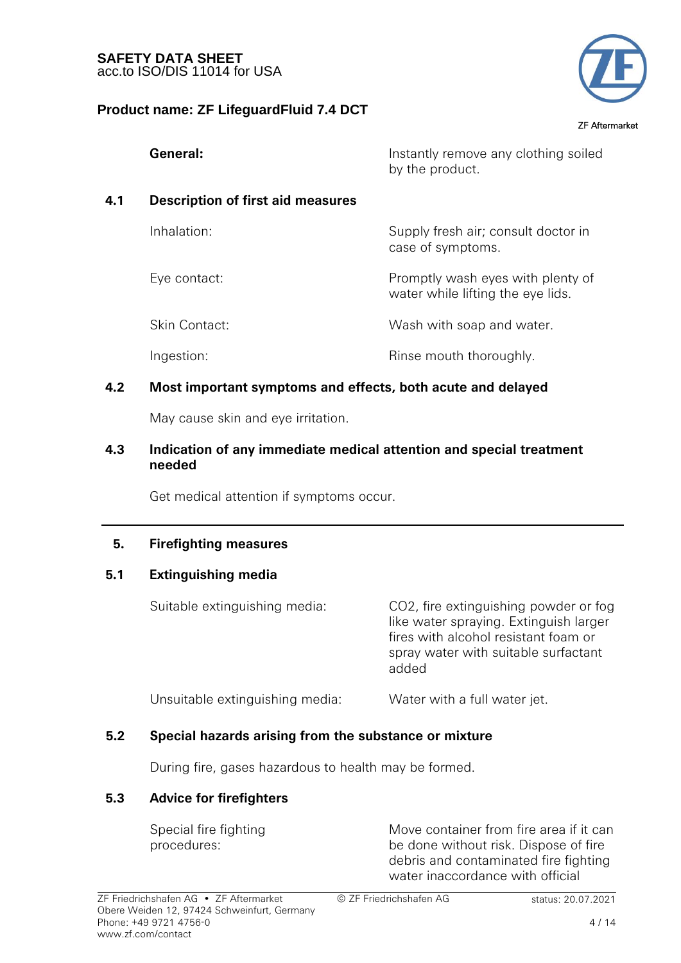

ZF Aftermarket

|     | General:                                 | Instantly remove any clothing soiled<br>by the product.                |
|-----|------------------------------------------|------------------------------------------------------------------------|
| 4.1 | <b>Description of first aid measures</b> |                                                                        |
|     | Inhalation:                              | Supply fresh air; consult doctor in<br>case of symptoms.               |
|     | Eye contact:                             | Promptly wash eyes with plenty of<br>water while lifting the eye lids. |
|     | <b>Skin Contact:</b>                     | Wash with soap and water.                                              |
|     | Ingestion:                               | Rinse mouth thoroughly.                                                |
|     |                                          |                                                                        |

## **4.2 Most important symptoms and effects, both acute and delayed**

May cause skin and eye irritation.

### **4.3 Indication of any immediate medical attention and special treatment needed**

Get medical attention if symptoms occur.

## **5. Firefighting measures**

## **5.1 Extinguishing media**

Suitable extinguishing media: CO2, fire extinguishing powder or fog like water spraying. Extinguish larger fires with alcohol resistant foam or spray water with suitable surfactant added

Unsuitable extinguishing media: Water with a full water jet.

## **5.2 Special hazards arising from the substance or mixture**

During fire, gases hazardous to health may be formed.

## **5.3 Advice for firefighters**

 Special fire fighting procedures:

Move container from fire area if it can be done without risk. Dispose of fire debris and contaminated fire fighting water inaccordance with official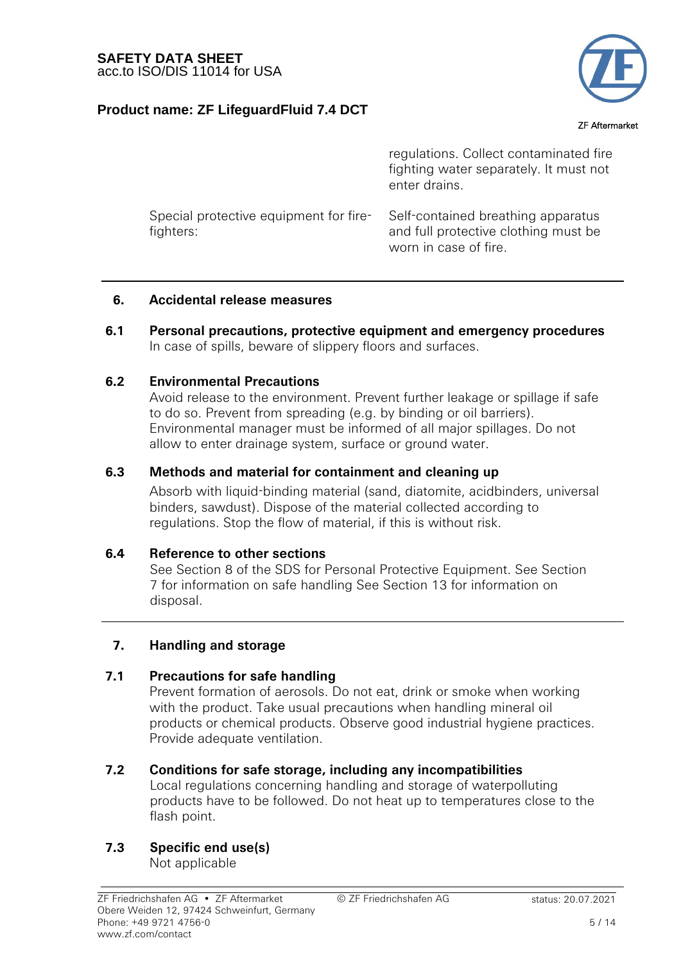

### ZF Aftermarket

|                                                     | regulations. Collect contaminated fire<br>fighting water separately. It must not<br>enter drains.   |
|-----------------------------------------------------|-----------------------------------------------------------------------------------------------------|
| Special protective equipment for fire-<br>fighters: | Self-contained breathing apparatus<br>and full protective clothing must be<br>worn in case of fire. |

### **6. Accidental release measures**

**6.1 Personal precautions, protective equipment and emergency procedures**  In case of spills, beware of slippery floors and surfaces.

### **6.2 Environmental Precautions**

 Avoid release to the environment. Prevent further leakage or spillage if safe to do so. Prevent from spreading (e.g. by binding or oil barriers). Environmental manager must be informed of all major spillages. Do not allow to enter drainage system, surface or ground water.

### **6.3 Methods and material for containment and cleaning up**

 Absorb with liquid-binding material (sand, diatomite, acidbinders, universal binders, sawdust). Dispose of the material collected according to regulations. Stop the flow of material, if this is without risk.

### **6.4 Reference to other sections**

See Section 8 of the SDS for Personal Protective Equipment. See Section 7 for information on safe handling See Section 13 for information on disposal.

### **7. Handling and storage**

### **7.1 Precautions for safe handling**

 Prevent formation of aerosols. Do not eat, drink or smoke when working with the product. Take usual precautions when handling mineral oil products or chemical products. Observe good industrial hygiene practices. Provide adequate ventilation.

### **7.2 Conditions for safe storage, including any incompatibilities**

Local regulations concerning handling and storage of waterpolluting products have to be followed. Do not heat up to temperatures close to the flash point.

## **7.3 Specific end use(s)**

Not applicable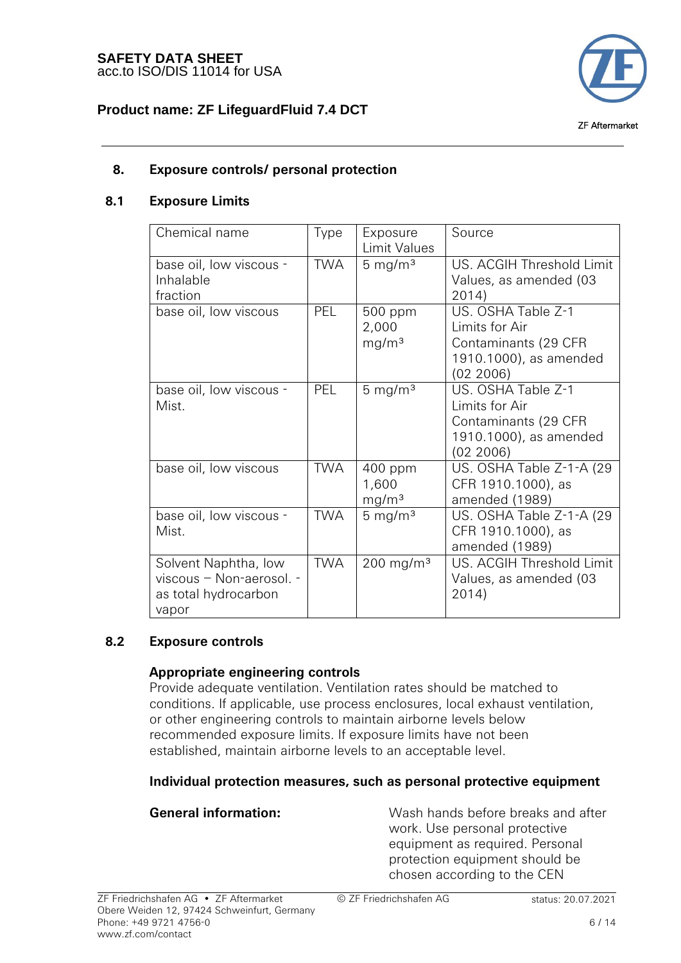

## **8. Exposure controls/ personal protection**

### **8.1 Exposure Limits**

| Chemical name                                                                     | Type       | Exposure<br>Limit Values              | Source                                                                                              |
|-----------------------------------------------------------------------------------|------------|---------------------------------------|-----------------------------------------------------------------------------------------------------|
| base oil, low viscous -<br>Inhalable<br>fraction                                  | <b>TWA</b> | $5 \text{ mg/m}^3$                    | US. ACGIH Threshold Limit<br>Values, as amended (03<br>2014)                                        |
| base oil, low viscous                                                             | <b>PEL</b> | 500 ppm<br>2,000<br>mg/m <sup>3</sup> | US. OSHA Table Z-1<br>Limits for Air<br>Contaminants (29 CFR<br>1910.1000), as amended<br>(02 2006) |
| base oil, low viscous -<br>Mist.                                                  | <b>PEL</b> | $5 \text{ mg/m}^3$                    | US. OSHA Table Z-1<br>Limits for Air<br>Contaminants (29 CFR<br>1910.1000), as amended<br>(02 2006) |
| base oil, low viscous                                                             | TWA        | 400 ppm<br>1,600<br>mg/m <sup>3</sup> | US. OSHA Table Z-1-A (29<br>CFR 1910.1000), as<br>amended (1989)                                    |
| base oil, low viscous -<br>Mist.                                                  | <b>TWA</b> | 5 mg/m $3$                            | US. OSHA Table Z-1-A (29<br>CFR 1910.1000), as<br>amended (1989)                                    |
| Solvent Naphtha, low<br>viscous - Non-aerosol. -<br>as total hydrocarbon<br>vapor | <b>TWA</b> | $200$ mg/m <sup>3</sup>               | US. ACGIH Threshold Limit<br>Values, as amended (03<br>2014)                                        |

## **8.2 Exposure controls**

## **Appropriate engineering controls**

 Provide adequate ventilation. Ventilation rates should be matched to conditions. If applicable, use process enclosures, local exhaust ventilation, or other engineering controls to maintain airborne levels below recommended exposure limits. If exposure limits have not been established, maintain airborne levels to an acceptable level.

## **Individual protection measures, such as personal protective equipment**

 **General information:** Wash hands before breaks and after work. Use personal protective equipment as required. Personal protection equipment should be chosen according to the CEN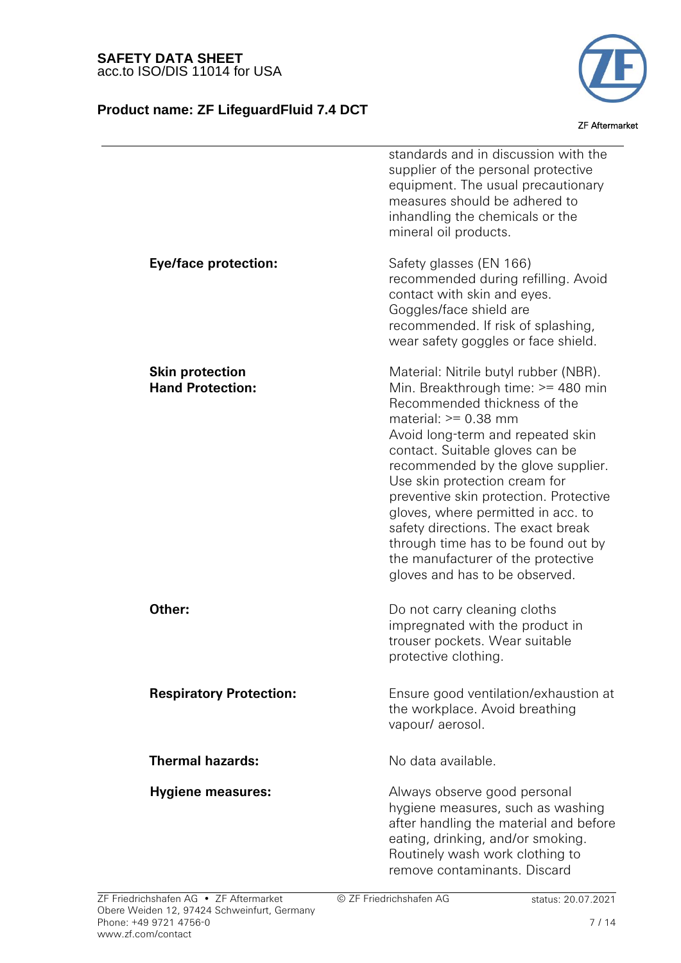## **Product name: ZF LifeguardFluid 7.4 DCT**



ZF Aftermarket

|                                                   | standards and in discussion with the<br>supplier of the personal protective<br>equipment. The usual precautionary<br>measures should be adhered to<br>inhandling the chemicals or the<br>mineral oil products.                                                                                                                                                                                                                                                                                                            |
|---------------------------------------------------|---------------------------------------------------------------------------------------------------------------------------------------------------------------------------------------------------------------------------------------------------------------------------------------------------------------------------------------------------------------------------------------------------------------------------------------------------------------------------------------------------------------------------|
| <b>Eye/face protection:</b>                       | Safety glasses (EN 166)<br>recommended during refilling. Avoid<br>contact with skin and eyes.<br>Goggles/face shield are<br>recommended. If risk of splashing,<br>wear safety goggles or face shield.                                                                                                                                                                                                                                                                                                                     |
| <b>Skin protection</b><br><b>Hand Protection:</b> | Material: Nitrile butyl rubber (NBR).<br>Min. Breakthrough time: >= 480 min<br>Recommended thickness of the<br>material: $>= 0.38$ mm<br>Avoid long-term and repeated skin<br>contact. Suitable gloves can be<br>recommended by the glove supplier.<br>Use skin protection cream for<br>preventive skin protection. Protective<br>gloves, where permitted in acc. to<br>safety directions. The exact break<br>through time has to be found out by<br>the manufacturer of the protective<br>gloves and has to be observed. |
| Other:                                            | Do not carry cleaning cloths<br>impregnated with the product in<br>trouser pockets. Wear suitable<br>protective clothing.                                                                                                                                                                                                                                                                                                                                                                                                 |
| <b>Respiratory Protection:</b>                    | Ensure good ventilation/exhaustion at<br>the workplace. Avoid breathing<br>vapour/aerosol.                                                                                                                                                                                                                                                                                                                                                                                                                                |
| <b>Thermal hazards:</b>                           | No data available.                                                                                                                                                                                                                                                                                                                                                                                                                                                                                                        |
| <b>Hygiene measures:</b>                          | Always observe good personal<br>hygiene measures, such as washing<br>after handling the material and before<br>eating, drinking, and/or smoking.<br>Routinely wash work clothing to                                                                                                                                                                                                                                                                                                                                       |

© ZF Friedrichshafen AG status: 20.07.2021

remove contaminants. Discard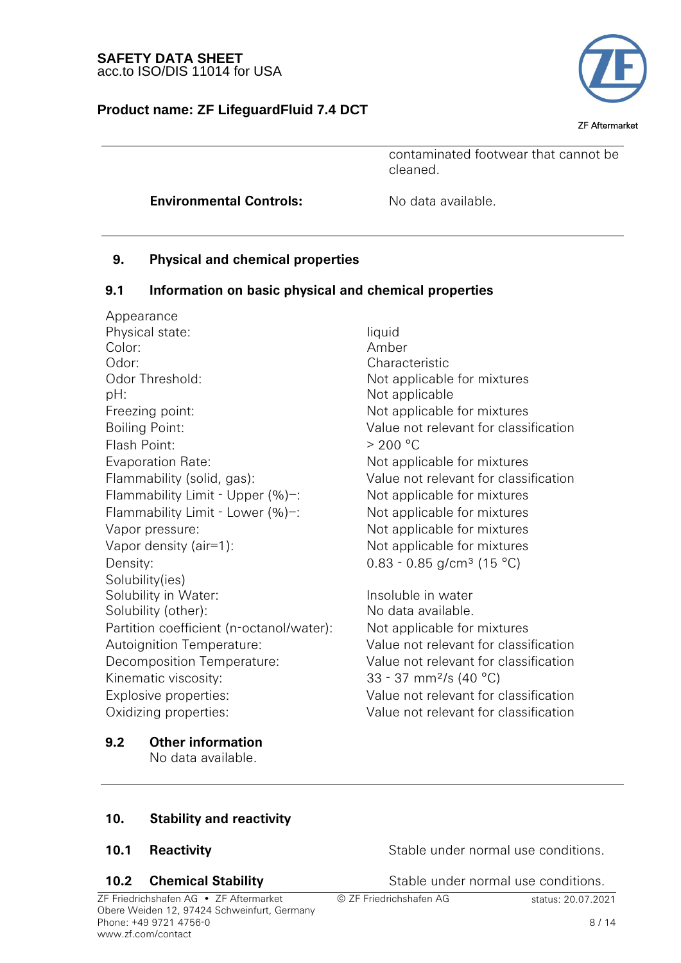## **Product name: ZF LifeguardFluid 7.4 DCT**



ZF Aftermarket

contaminated footwear that cannot be cleaned.

**Environmental Controls:** No data available.

## **9. Physical and chemical properties**

### **9.1 Information on basic physical and chemical properties**

Appearance Physical state: liquid Color: Amber Odor: Characteristic Odor Threshold: Not applicable for mixtures pH:  $D$ Freezing point: The Mot applicable for mixtures Boiling Point: Value not relevant for classification Flash Point:  $> 200 °C$ Evaporation Rate: Not applicable for mixtures Flammability (solid, gas): Value not relevant for classification Flammability Limit - Upper (%)–: Not applicable for mixtures Flammability Limit - Lower (%)–: Not applicable for mixtures Vapor pressure: Not applicable for mixtures Vapor density (air=1): Not applicable for mixtures Density:  $0.83 - 0.85$  g/cm<sup>3</sup> (15 °C) Solubility(ies) Solubility in Water: Insoluble in water Solubility (other): No data available. Partition coefficient (n-octanol/water): Not applicable for mixtures Autoignition Temperature: Value not relevant for classification Decomposition Temperature: Value not relevant for classification Kinematic viscosity: 33 - 37 mm<sup>2</sup>/s (40 °C) Explosive properties: Value not relevant for classification Oxidizing properties: Value not relevant for classification

**9.2 Other information**

No data available.

## **10. Stability and reactivity**

ZF Friedrichshafen AG • ZF Aftermarket Obere Weiden 12, 97424 Schweinfurt, Germany Phone: +49 9721 4756-0 www.zf.com/contact

**10.1 Reactivity Example 20.1** Stable under normal use conditions.

**10.2 Chemical Stability** Stable under normal use conditions.

© ZF Friedrichshafen AG status: 20.07.2021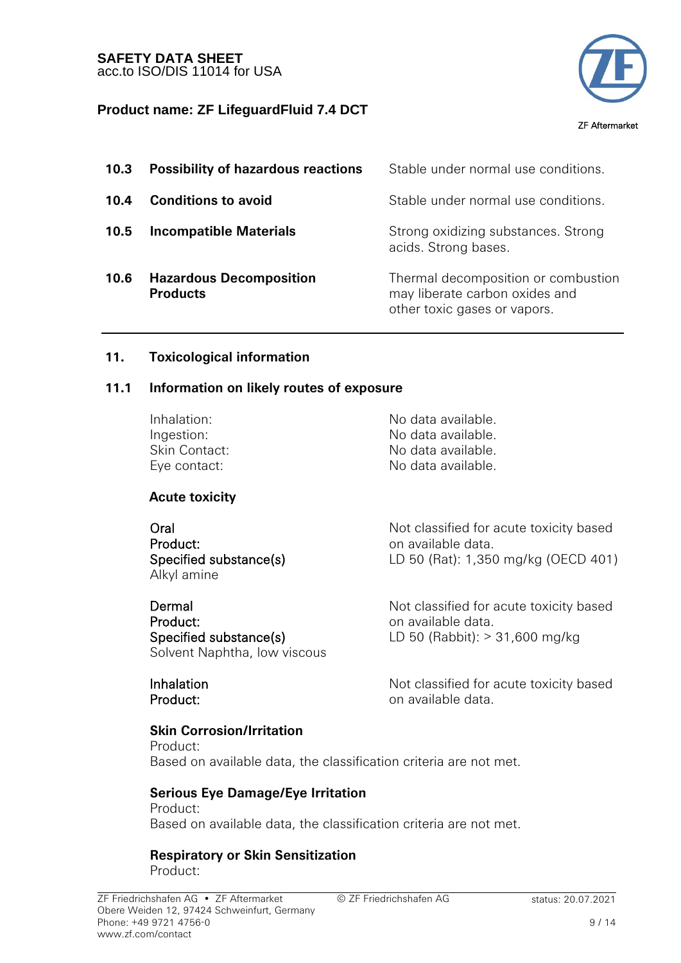

| 10.3 | <b>Possibility of hazardous reactions</b>         | Stable under normal use conditions.                                                                   |
|------|---------------------------------------------------|-------------------------------------------------------------------------------------------------------|
| 10.4 | <b>Conditions to avoid</b>                        | Stable under normal use conditions.                                                                   |
| 10.5 | <b>Incompatible Materials</b>                     | Strong oxidizing substances. Strong<br>acids. Strong bases.                                           |
| 10.6 | <b>Hazardous Decomposition</b><br><b>Products</b> | Thermal decomposition or combustion<br>may liberate carbon oxides and<br>other toxic gases or vapors. |

## **11. Toxicological information**

### **11.1 Information on likely routes of exposure**

Inhalation: No data available.

**Acute toxicity**

**Oral** Product: Specified substance(s) Alkyl amine

 Dermal Product: Specified substance(s) Solvent Naphtha, low viscous

 Inhalation Product:

Ingestion: No data available. Skin Contact: No data available. Eye contact: No data available.

> Not classified for acute toxicity based on available data. LD 50 (Rat): 1,350 mg/kg (OECD 401)

Not classified for acute toxicity based on available data. LD 50 (Rabbit): > 31,600 mg/kg

Not classified for acute toxicity based on available data.

 **Skin Corrosion/Irritation** Product: Based on available data, the classification criteria are not met.

 **Serious Eye Damage/Eye Irritation** Product: Based on available data, the classification criteria are not met.

 **Respiratory or Skin Sensitization** Product:

© ZF Friedrichshafen AG status: 20.07.2021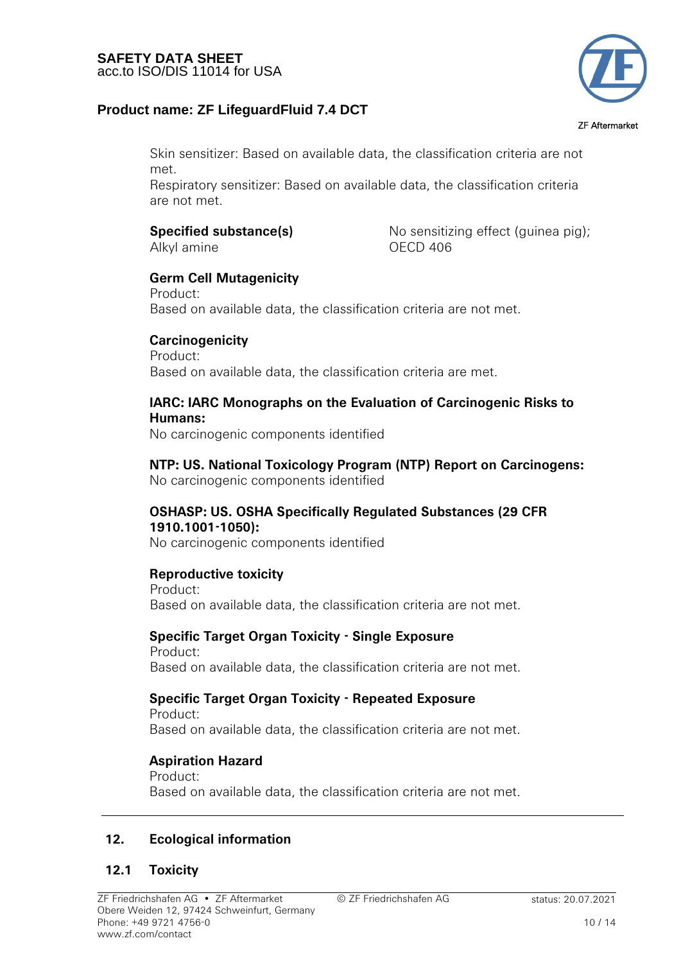## **Product name: ZF LifeguardFluid 7.4 DCT**



ZF Aftermarket

Skin sensitizer: Based on available data, the classification criteria are not met.

Respiratory sensitizer: Based on available data, the classification criteria are not met.

## **Specified substance(s)**

Alkyl amine

No sensitizing effect (guinea pig); OECD 406

# **Germ Cell Mutagenicity**

Product: Based on available data, the classification criteria are not met.

## **Carcinogenicity**

Product: Based on available data, the classification criteria are met.

### **IARC: IARC Monographs on the Evaluation of Carcinogenic Risks to Humans:**

No carcinogenic components identified

 **NTP: US. National Toxicology Program (NTP) Report on Carcinogens:** No carcinogenic components identified

## **OSHASP: US. OSHA Specifically Regulated Substances (29 CFR 1910.1001-1050):**

No carcinogenic components identified

## **Reproductive toxicity**

Product: Based on available data, the classification criteria are not met.

## **Specific Target Organ Toxicity - Single Exposure**

Product: Based on available data, the classification criteria are not met.

### **Specific Target Organ Toxicity - Repeated Exposure** Product:

Based on available data, the classification criteria are not met.

## **Aspiration Hazard**

Product: Based on available data, the classification criteria are not met.

## **12. Ecological information**

## **12.1 Toxicity**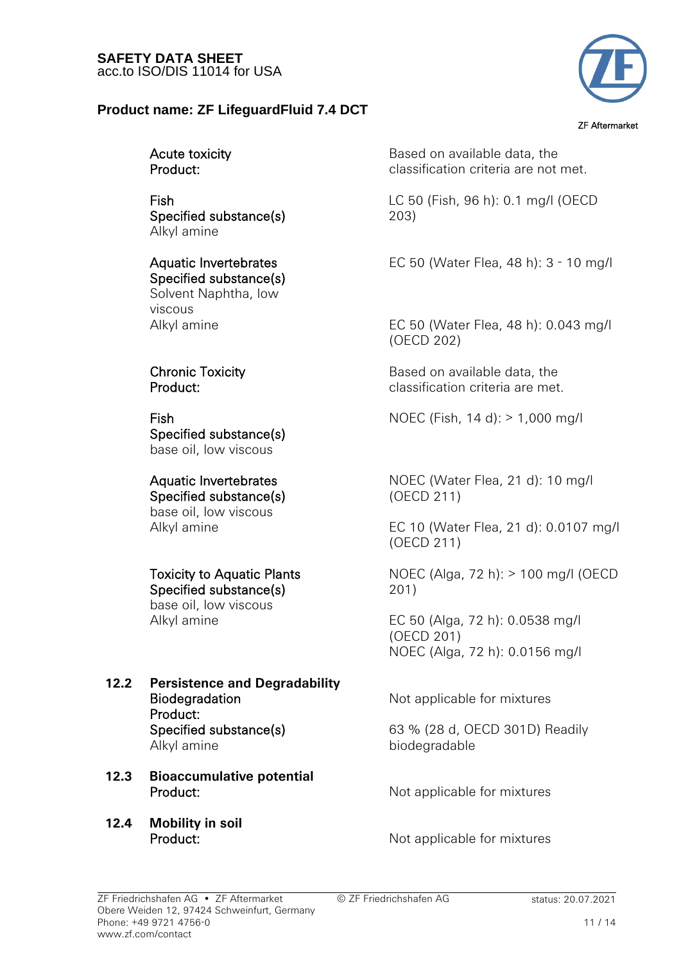## **Product name: ZF LifeguardFluid 7.4 DCT**



ZF Aftermarket

| Acute toxicity |
|----------------|
| Product:       |

 Fish Specified substance(s) Alkyl amine

 Aquatic Invertebrates Specified substance(s) Solvent Naphtha, low

viscous

 Chronic Toxicity Product:

 Fish Specified substance(s) base oil, low viscous

### Aquatic Invertebrates Specified substance(s)

base oil, low viscous

 Toxicity to Aquatic Plants Specified substance(s)

base oil, low viscous

- **12.2 Persistence and Degradability Biodegradation** Product: Specified substance(s) Alkyl amine
- **12.3 Bioaccumulative potential Product:** Not applicable for mixtures
- **12.4 Mobility in soil** Product:

Based on available data, the classification criteria are not met.

LC 50 (Fish, 96 h): 0.1 mg/l (OECD 203)

EC 50 (Water Flea, 48 h): 3 - 10 mg/l

Alkyl amine **EC 50** (Water Flea, 48 h): 0.043 mg/l (OECD 202)

> Based on available data, the classification criteria are met.

NOEC (Fish, 14 d): > 1,000 mg/l

NOEC (Water Flea, 21 d): 10 mg/l (OECD 211)

 Alkyl amine EC 10 (Water Flea, 21 d): 0.0107 mg/l (OECD 211)

> NOEC (Alga, 72 h): > 100 mg/l (OECD 201)

 Alkyl amine EC 50 (Alga, 72 h): 0.0538 mg/l (OECD 201) NOEC (Alga, 72 h): 0.0156 mg/l

Not applicable for mixtures

63 % (28 d, OECD 301D) Readily biodegradable

Not applicable for mixtures

© ZF Friedrichshafen AG status: 20.07.2021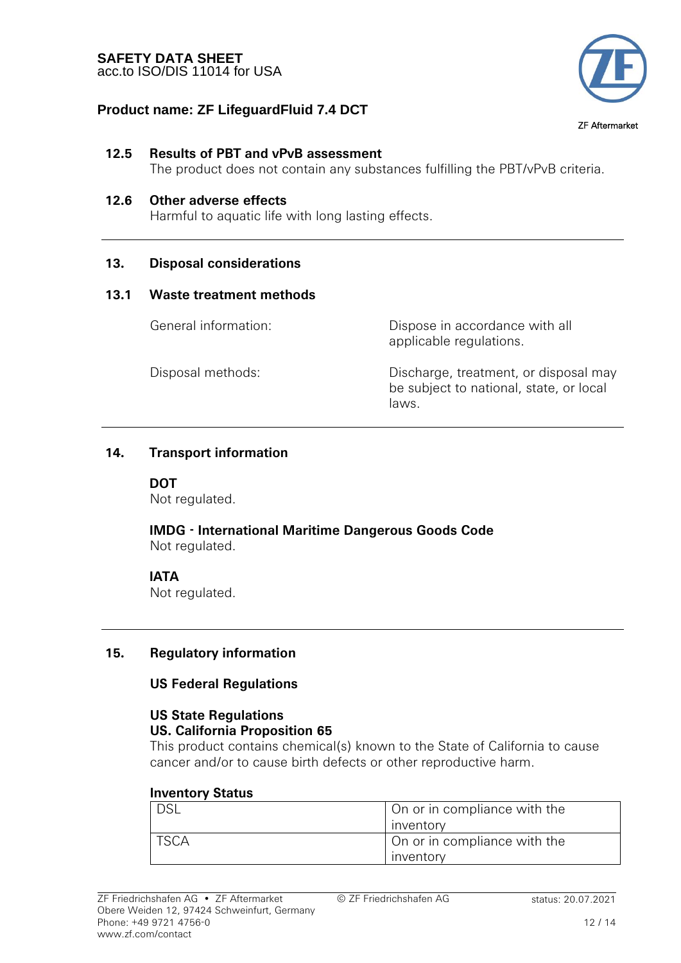

### ZF Aftermarket

### **12.5 Results of PBT and vPvB assessment**

The product does not contain any substances fulfilling the PBT/vPvB criteria.

### **12.6 Other adverse effects**

Harmful to aquatic life with long lasting effects.

### **13. Disposal considerations**

### **13.1 Waste treatment methods**

 General information: Dispose in accordance with all applicable regulations.

 Disposal methods: Discharge, treatment, or disposal may be subject to national, state, or local laws.

### **14. Transport information**

### **DOT**

Not regulated.

 **IMDG - International Maritime Dangerous Goods Code** Not regulated.

### **IATA**

Not regulated.

### **15. Regulatory information**

### **US Federal Regulations**

### **US State Regulations US. California Proposition 65**

This product contains chemical(s) known to the State of California to cause cancer and/or to cause birth defects or other reproductive harm.

### **Inventory Status**

| 70.<br>ـ ـات | On or in compliance with the |
|--------------|------------------------------|
|              | <b>Inventory</b>             |
|              | On or in compliance with the |
|              | <b>Inventory</b>             |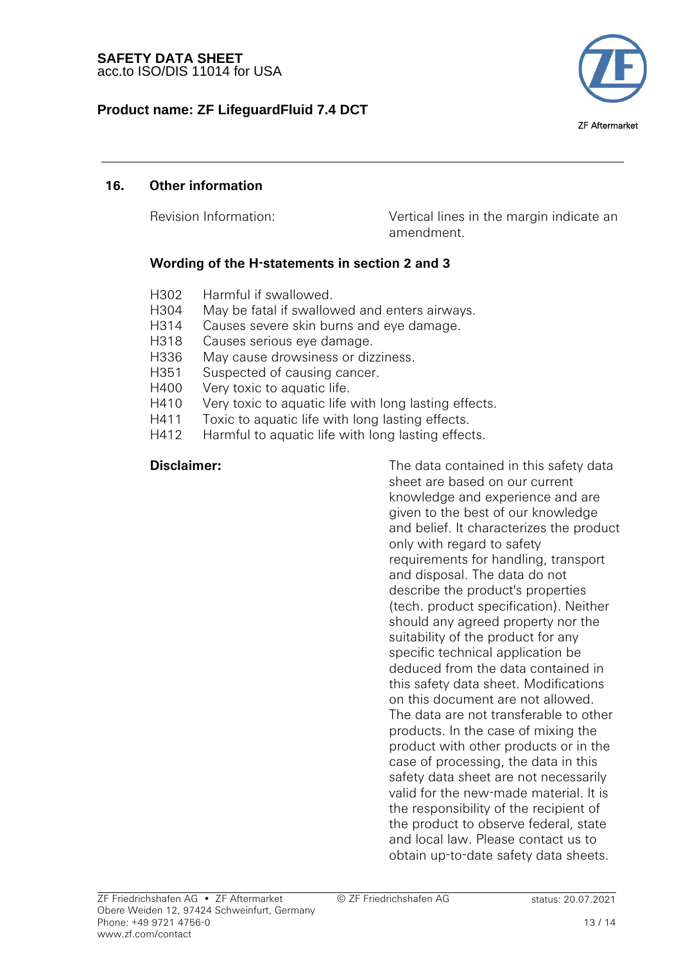

ZF Aftermarket

## **16. Other information**

 Revision Information: Vertical lines in the margin indicate an amendment.

## **Wording of the H-statements in section 2 and 3**

- H302 Harmful if swallowed.
- H304 May be fatal if swallowed and enters airways.
- H314 Causes severe skin burns and eye damage.
- H318 Causes serious eye damage.
- H336 May cause drowsiness or dizziness.
- H351 Suspected of causing cancer.
- H400 Very toxic to aquatic life.
- H410 Very toxic to aquatic life with long lasting effects.
- H411 Toxic to aquatic life with long lasting effects.
- H412 Harmful to aquatic life with long lasting effects.

**Disclaimer:** The data contained in this safety data **Disclaimer:** sheet are based on our current knowledge and experience and are given to the best of our knowledge and belief. It characterizes the product only with regard to safety requirements for handling, transport and disposal. The data do not describe the product's properties (tech. product specification). Neither should any agreed property nor the suitability of the product for any specific technical application be deduced from the data contained in this safety data sheet. Modifications on this document are not allowed. The data are not transferable to other products. In the case of mixing the product with other products or in the case of processing, the data in this safety data sheet are not necessarily valid for the new-made material. It is the responsibility of the recipient of the product to observe federal, state and local law. Please contact us to obtain up-to-date safety data sheets.